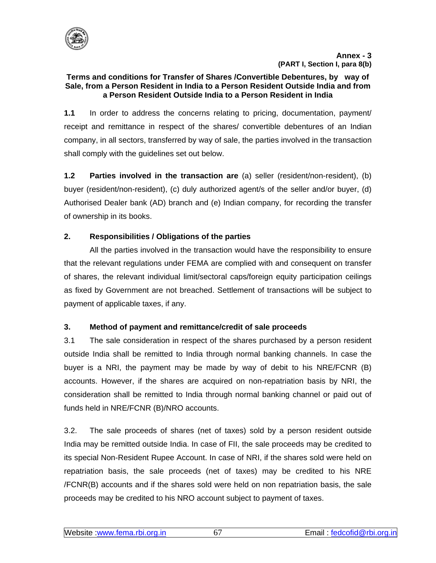

#### **Terms and conditions for Transfer of Shares /Convertible Debentures, by way of Sale, from a Person Resident in India to a Person Resident Outside India and from a Person Resident Outside India to a Person Resident in India**

**1.1** In order to address the concerns relating to pricing, documentation, payment/ receipt and remittance in respect of the shares/ convertible debentures of an Indian company, in all sectors, transferred by way of sale, the parties involved in the transaction shall comply with the guidelines set out below.

**1.2 Parties involved in the transaction are** (a) seller (resident/non-resident), (b) buyer (resident/non-resident), (c) duly authorized agent/s of the seller and/or buyer, (d) Authorised Dealer bank (AD) branch and (e) Indian company, for recording the transfer of ownership in its books.

# **2. Responsibilities / Obligations of the parties**

 All the parties involved in the transaction would have the responsibility to ensure that the relevant regulations under FEMA are complied with and consequent on transfer of shares, the relevant individual limit/sectoral caps/foreign equity participation ceilings as fixed by Government are not breached. Settlement of transactions will be subject to payment of applicable taxes, if any.

## **3. Method of payment and remittance/credit of sale proceeds**

3.1 The sale consideration in respect of the shares purchased by a person resident outside India shall be remitted to India through normal banking channels. In case the buyer is a NRI, the payment may be made by way of debit to his NRE/FCNR (B) accounts. However, if the shares are acquired on non-repatriation basis by NRI, the consideration shall be remitted to India through normal banking channel or paid out of funds held in NRE/FCNR (B)/NRO accounts.

3.2. The sale proceeds of shares (net of taxes) sold by a person resident outside India may be remitted outside India. In case of FII, the sale proceeds may be credited to its special Non-Resident Rupee Account. In case of NRI, if the shares sold were held on repatriation basis, the sale proceeds (net of taxes) may be credited to his NRE /FCNR(B) accounts and if the shares sold were held on non repatriation basis, the sale proceeds may be credited to his NRO account subject to payment of taxes.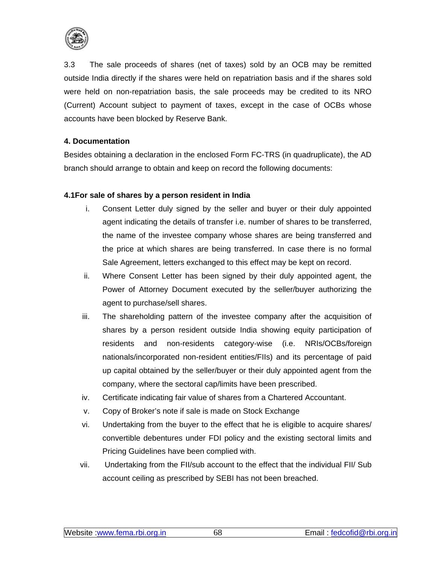

3.3 The sale proceeds of shares (net of taxes) sold by an OCB may be remitted outside India directly if the shares were held on repatriation basis and if the shares sold were held on non-repatriation basis, the sale proceeds may be credited to its NRO (Current) Account subject to payment of taxes, except in the case of OCBs whose accounts have been blocked by Reserve Bank.

### **4. Documentation**

Besides obtaining a declaration in the enclosed Form FC-TRS (in quadruplicate), the AD branch should arrange to obtain and keep on record the following documents:

### **4.1For sale of shares by a person resident in India**

- i. Consent Letter duly signed by the seller and buyer or their duly appointed agent indicating the details of transfer i.e. number of shares to be transferred, the name of the investee company whose shares are being transferred and the price at which shares are being transferred. In case there is no formal Sale Agreement, letters exchanged to this effect may be kept on record.
- ii. Where Consent Letter has been signed by their duly appointed agent, the Power of Attorney Document executed by the seller/buyer authorizing the agent to purchase/sell shares.
- iii. The shareholding pattern of the investee company after the acquisition of shares by a person resident outside India showing equity participation of residents and non-residents category-wise (i.e. NRIs/OCBs/foreign nationals/incorporated non-resident entities/FIIs) and its percentage of paid up capital obtained by the seller/buyer or their duly appointed agent from the company, where the sectoral cap/limits have been prescribed.
- iv. Certificate indicating fair value of shares from a Chartered Accountant.
- v. Copy of Broker's note if sale is made on Stock Exchange
- vi. Undertaking from the buyer to the effect that he is eligible to acquire shares/ convertible debentures under FDI policy and the existing sectoral limits and Pricing Guidelines have been complied with.
- vii. Undertaking from the FII/sub account to the effect that the individual FII/ Sub account ceiling as prescribed by SEBI has not been breached.